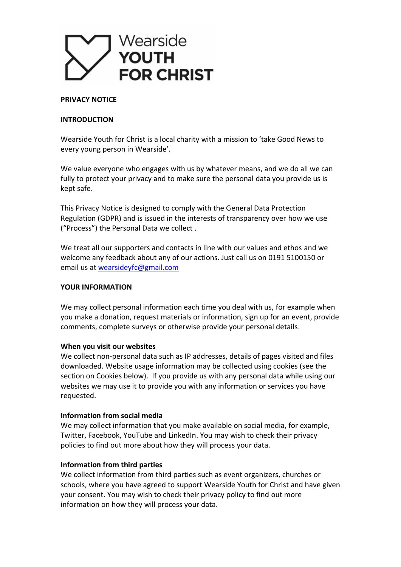

#### **PRIVACY NOTICE**

#### **INTRODUCTION**

Wearside Youth for Christ is a local charity with a mission to 'take Good News to every young person in Wearside'.

We value everyone who engages with us by whatever means, and we do all we can fully to protect your privacy and to make sure the personal data you provide us is kept safe.

This Privacy Notice is designed to comply with the General Data Protection Regulation (GDPR) and is issued in the interests of transparency over how we use ("Process") the Personal Data we collect .

We treat all our supporters and contacts in line with our values and ethos and we welcome any feedback about any of our actions. Just call us on 0191 5100150 or email us a[t wearsideyfc@gmail.com](mailto:wearsideyfc@gmail.com)

#### **YOUR INFORMATION**

We may collect personal information each time you deal with us, for example when you make a donation, request materials or information, sign up for an event, provide comments, complete surveys or otherwise provide your personal details.

#### **When you visit our websites**

We collect non-personal data such as IP addresses, details of pages visited and files downloaded. Website usage information may be collected using cookies (see the section on Cookies below). If you provide us with any personal data while using our websites we may use it to provide you with any information or services you have requested.

#### **Information from social media**

We may collect information that you make available on social media, for example, Twitter, Facebook, YouTube and LinkedIn. You may wish to check their privacy policies to find out more about how they will process your data.

# **Information from third parties**

We collect information from third parties such as event organizers, churches or schools, where you have agreed to support Wearside Youth for Christ and have given your consent. You may wish to check their privacy policy to find out more information on how they will process your data.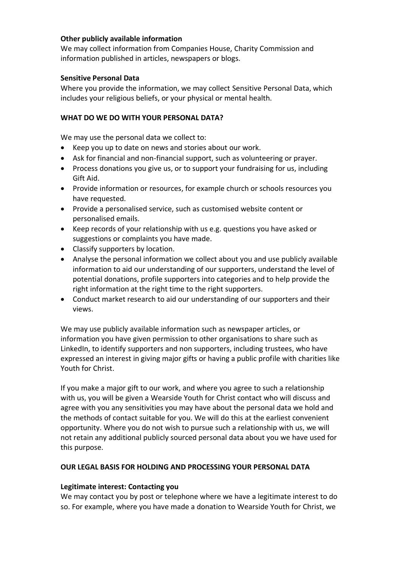### **Other publicly available information**

We may collect information from Companies House, Charity Commission and information published in articles, newspapers or blogs.

### **Sensitive Personal Data**

Where you provide the information, we may collect Sensitive Personal Data, which includes your religious beliefs, or your physical or mental health.

#### **WHAT DO WE DO WITH YOUR PERSONAL DATA?**

We may use the personal data we collect to:

- Keep you up to date on news and stories about our work.
- Ask for financial and non-financial support, such as volunteering or prayer.
- Process donations you give us, or to support your fundraising for us, including Gift Aid.
- Provide information or resources, for example church or schools resources you have requested.
- Provide a personalised service, such as customised website content or personalised emails.
- Keep records of your relationship with us e.g. questions you have asked or suggestions or complaints you have made.
- Classify supporters by location.
- Analyse the personal information we collect about you and use publicly available information to aid our understanding of our supporters, understand the level of potential donations, profile supporters into categories and to help provide the right information at the right time to the right supporters.
- Conduct market research to aid our understanding of our supporters and their views.

We may use publicly available information such as newspaper articles, or information you have given permission to other organisations to share such as LinkedIn, to identify supporters and non supporters, including trustees, who have expressed an interest in giving major gifts or having a public profile with charities like Youth for Christ.

If you make a major gift to our work, and where you agree to such a relationship with us, you will be given a Wearside Youth for Christ contact who will discuss and agree with you any sensitivities you may have about the personal data we hold and the methods of contact suitable for you. We will do this at the earliest convenient opportunity. Where you do not wish to pursue such a relationship with us, we will not retain any additional publicly sourced personal data about you we have used for this purpose.

# **OUR LEGAL BASIS FOR HOLDING AND PROCESSING YOUR PERSONAL DATA**

# **Legitimate interest: Contacting you**

We may contact you by post or telephone where we have a legitimate interest to do so. For example, where you have made a donation to Wearside Youth for Christ, we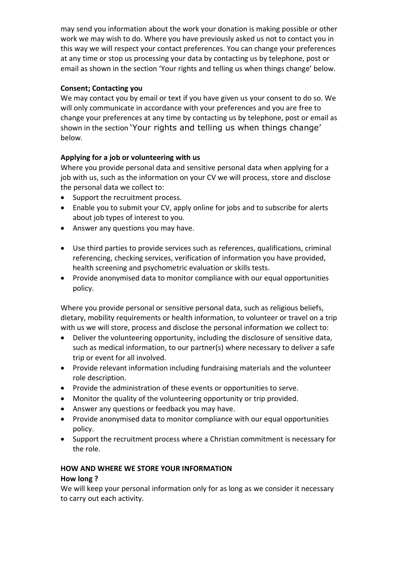may send you information about the work your donation is making possible or other work we may wish to do. Where you have previously asked us not to contact you in this way we will respect your contact preferences. You can change your preferences at any time or stop us processing your data by contacting us by telephone, post or email as shown in the section 'Your rights and telling us when things change' below.

# **Consent; Contacting you**

We may contact you by email or text if you have given us your consent to do so. We will only communicate in accordance with your preferences and you are free to change your preferences at any time by contacting us by telephone, post or email as shown in the section 'Your rights and telling us when things change' below.

# **Applying for a job or volunteering with us**

Where you provide personal data and sensitive personal data when applying for a job with us, such as the information on your CV we will process, store and disclose the personal data we collect to:

- Support the recruitment process.
- Enable you to submit your CV, apply online for jobs and to subscribe for alerts about job types of interest to you.
- Answer any questions you may have.
- Use third parties to provide services such as references, qualifications, criminal referencing, checking services, verification of information you have provided, health screening and psychometric evaluation or skills tests.
- Provide anonymised data to monitor compliance with our equal opportunities policy.

Where you provide personal or sensitive personal data, such as religious beliefs, dietary, mobility requirements or health information, to volunteer or travel on a trip with us we will store, process and disclose the personal information we collect to:

- Deliver the volunteering opportunity, including the disclosure of sensitive data, such as medical information, to our partner(s) where necessary to deliver a safe trip or event for all involved.
- Provide relevant information including fundraising materials and the volunteer role description.
- Provide the administration of these events or opportunities to serve.
- Monitor the quality of the volunteering opportunity or trip provided.
- Answer any questions or feedback you may have.
- Provide anonymised data to monitor compliance with our equal opportunities policy.
- Support the recruitment process where a Christian commitment is necessary for the role.

# **HOW AND WHERE WE STORE YOUR INFORMATION**

# **How long ?**

We will keep your personal information only for as long as we consider it necessary to carry out each activity.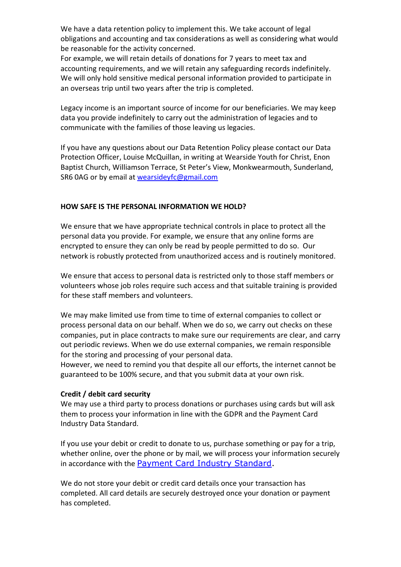We have a data retention policy to implement this. We take account of legal obligations and accounting and tax considerations as well as considering what would be reasonable for the activity concerned.

For example, we will retain details of donations for 7 years to meet tax and accounting requirements, and we will retain any safeguarding records indefinitely. We will only hold sensitive medical personal information provided to participate in an overseas trip until two years after the trip is completed.

Legacy income is an important source of income for our beneficiaries. We may keep data you provide indefinitely to carry out the administration of legacies and to communicate with the families of those leaving us legacies.

If you have any questions about our Data Retention Policy please contact our Data Protection Officer, Louise McQuillan, in writing at Wearside Youth for Christ, Enon Baptist Church, Williamson Terrace, St Peter's View, Monkwearmouth, Sunderland, SR6 0AG or by email at [wearsideyfc@gmail.com](mailto:wearsideyfc@gmail.com)

### **HOW SAFE IS THE PERSONAL INFORMATION WE HOLD?**

We ensure that we have appropriate technical controls in place to protect all the personal data you provide. For example, we ensure that any online forms are encrypted to ensure they can only be read by people permitted to do so. Our network is robustly protected from unauthorized access and is routinely monitored.

We ensure that access to personal data is restricted only to those staff members or volunteers whose job roles require such access and that suitable training is provided for these staff members and volunteers.

We may make limited use from time to time of external companies to collect or process personal data on our behalf. When we do so, we carry out checks on these companies, put in place contracts to make sure our requirements are clear, and carry out periodic reviews. When we do use external companies, we remain responsible for the storing and processing of your personal data.

However, we need to remind you that despite all our efforts, the internet cannot be guaranteed to be 100% secure, and that you submit data at your own risk.

# **Credit / debit card security**

We may use a third party to process donations or purchases using cards but will ask them to process your information in line with the GDPR and the Payment Card Industry Data Standard.

If you use your debit or credit to donate to us, purchase something or pay for a trip, whether online, over the phone or by mail, we will process your information securely in accordance with the [Payment Card Industry Standard.](https://www.pcisecuritystandards.org/pci_security/)

We do not store your debit or credit card details once your transaction has completed. All card details are securely destroyed once your donation or payment has completed.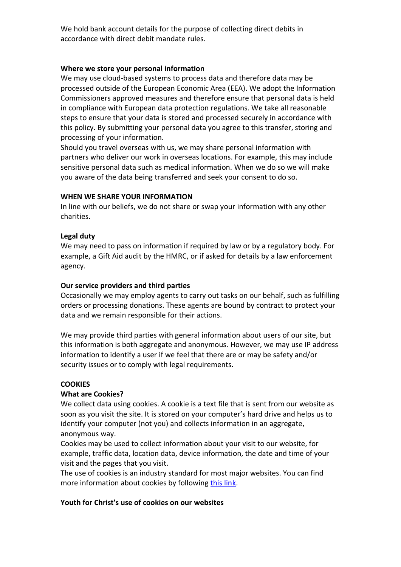We hold bank account details for the purpose of collecting direct debits in accordance with direct debit mandate rules.

### **Where we store your personal information**

We may use cloud-based systems to process data and therefore data may be processed outside of the European Economic Area (EEA). We adopt the Information Commissioners approved measures and therefore ensure that personal data is held in compliance with European data protection regulations. We take all reasonable steps to ensure that your data is stored and processed securely in accordance with this policy. By submitting your personal data you agree to this transfer, storing and processing of your information.

Should you travel overseas with us, we may share personal information with partners who deliver our work in overseas locations. For example, this may include sensitive personal data such as medical information. When we do so we will make you aware of the data being transferred and seek your consent to do so.

### **WHEN WE SHARE YOUR INFORMATION**

In line with our beliefs, we do not share or swap your information with any other charities.

### **Legal duty**

We may need to pass on information if required by law or by a regulatory body. For example, a Gift Aid audit by the HMRC, or if asked for details by a law enforcement agency.

#### **Our service providers and third parties**

Occasionally we may employ agents to carry out tasks on our behalf, such as fulfilling orders or processing donations. These agents are bound by contract to protect your data and we remain responsible for their actions.

We may provide third parties with general information about users of our site, but this information is both aggregate and anonymous. However, we may use IP address information to identify a user if we feel that there are or may be safety and/or security issues or to comply with legal requirements.

#### **COOKIES**

#### **What are Cookies?**

We collect data using cookies. A cookie is a text file that is sent from our website as soon as you visit the site. It is stored on your computer's hard drive and helps us to identify your computer (not you) and collects information in an aggregate, anonymous way.

Cookies may be used to collect information about your visit to our website, for example, traffic data, location data, device information, the date and time of your visit and the pages that you visit.

The use of cookies is an industry standard for most major websites. You can find more information about cookies by following [this link.](http://www.allaboutcookies.org/)

# **Youth for Christ's use of cookies on our websites**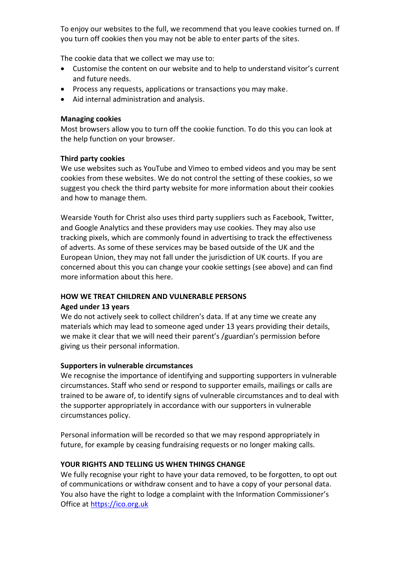To enjoy our websites to the full, we recommend that you leave cookies turned on. If you turn off cookies then you may not be able to enter parts of the sites.

The cookie data that we collect we may use to:

- Customise the content on our website and to help to understand visitor's current and future needs.
- Process any requests, applications or transactions you may make.
- Aid internal administration and analysis.

### **Managing cookies**

Most browsers allow you to turn off the cookie function. To do this you can look at the help function on your browser.

### **Third party cookies**

We use websites such as YouTube and Vimeo to embed videos and you may be sent cookies from these websites. We do not control the setting of these cookies, so we suggest you check the third party website for more information about their cookies and how to manage them.

Wearside Youth for Christ also uses third party suppliers such as Facebook, Twitter, and Google Analytics and these providers may use cookies. They may also use tracking pixels, which are commonly found in advertising to track the effectiveness of adverts. As some of these services may be based outside of the UK and the European Union, they may not fall under the jurisdiction of UK courts. If you are concerned about this you can change your cookie settings (see above) and can find more information about this [here.](https://ico.org.uk/)

# **HOW WE TREAT CHILDREN AND VULNERABLE PERSONS**

#### **Aged under 13 years**

We do not actively seek to collect children's data. If at any time we create any materials which may lead to someone aged under 13 years providing their details, we make it clear that we will need their parent's /guardian's permission before giving us their personal information.

# **Supporters in vulnerable circumstances**

We recognise the importance of identifying and supporting supporters in vulnerable circumstances. Staff who send or respond to supporter emails, mailings or calls are trained to be aware of, to identify signs of vulnerable circumstances and to deal with the supporter appropriately in accordance with our supporters in vulnerable circumstances policy.

Personal information will be recorded so that we may respond appropriately in future, for example by ceasing fundraising requests or no longer making calls.

# **YOUR RIGHTS AND TELLING US WHEN THINGS CHANGE**

We fully recognise your right to have your data removed, to be forgotten, to opt out of communications or withdraw consent and to have a copy of your personal data. You also have the right to lodge a complaint with the Information Commissioner's Office at [https://ico.org.uk](https://ico.org.uk/)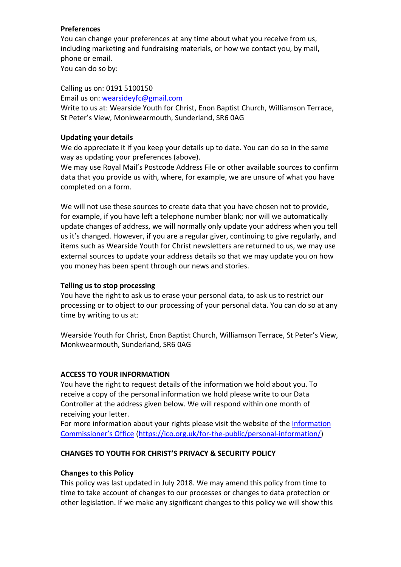#### **Preferences**

You can change your preferences at any time about what you receive from us, including marketing and fundraising materials, or how we contact you, by mail, phone or email.

You can do so by:

#### Calling us on: 0191 5100150

Email us on: wearsideyfc@gmail.com

Write to us at: Wearside Youth for Christ, Enon Baptist Church, Williamson Terrace, St Peter's View, Monkwearmouth, Sunderland, SR6 0AG

### **Updating your details**

We do appreciate it if you keep your details up to date. You can do so in the same way as updating your preferences (above).

We may use Royal Mail's Postcode Address File or other available sources to confirm data that you provide us with, where, for example, we are unsure of what you have completed on a form.

We will not use these sources to create data that you have chosen not to provide, for example, if you have left a telephone number blank; nor will we automatically update changes of address, we will normally only update your address when you tell us it's changed. However, if you are a regular giver, continuing to give regularly, and items such as Wearside Youth for Christ newsletters are returned to us, we may use external sources to update your address details so that we may update you on how you money has been spent through our news and stories.

### **Telling us to stop processing**

You have the right to ask us to erase your personal data, to ask us to restrict our processing or to object to our processing of your personal data. You can do so at any time by writing to us at:

Wearside Youth for Christ, Enon Baptist Church, Williamson Terrace, St Peter's View, Monkwearmouth, Sunderland, SR6 0AG

# **ACCESS TO YOUR INFORMATION**

You have the right to request details of the information we hold about you. To receive a copy of the personal information we hold please write to our Data Controller at the address given below. We will respond within one month of receiving your letter.

For more information about your rights please visit the website of the [Information](/Users/petermarkwallace/Library/Containers/com.apple.mail/Data/Library/Mail%20Downloads/1D202A46-760E-418C-949B-59AD92C93E6B/Information%20Commissioner)  [Commissioner's Office](/Users/petermarkwallace/Library/Containers/com.apple.mail/Data/Library/Mail%20Downloads/1D202A46-760E-418C-949B-59AD92C93E6B/Information%20Commissioner) [\(https://ico.org.uk/for-the-public/personal-information/\)](https://ico.org.uk/for-the-public/personal-information/)

# **CHANGES TO YOUTH FOR CHRIST'S PRIVACY & SECURITY POLICY**

#### **Changes to this Policy**

This policy was last updated in July 2018. We may amend this policy from time to time to take account of changes to our processes or changes to data protection or other legislation. If we make any significant changes to this policy we will show this